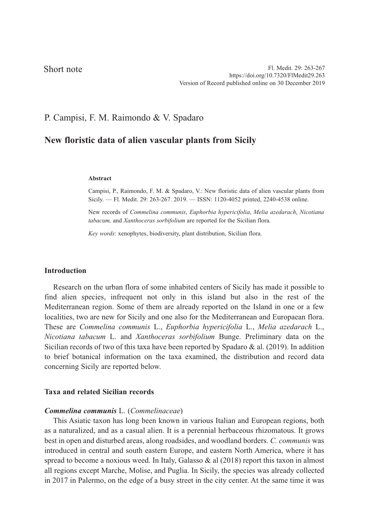## Short note

# P. Campisi, F. M. Raimondo & V. Spadaro

# **New floristic data of alien vascular plants from Sicily**

#### **Abstract**

Campisi, P., Raimondo, F. M. & Spadaro, V.: New floristic data of alien vascular plants from Sicily. — Fl. Medit. 29: 263-267. 2019. — ISSN: 1120-4052 printed, 2240-4538 online.

New records of *Commelina communis*, *Euphorbia hypericifolia*, *Melia azedarach*, *Nicotiana tabacum,* and *Xanthoceras sorbifolium* are reported for the Sicilian flora.

*Key words*: xenophytes, biodiversity, plant distribution, Sicilian flora.

## **Introduction**

Research on the urban flora of some inhabited centers of Sicily has made it possible to find alien species, infrequent not only in this island but also in the rest of the Mediterranean region. Some of them are already reported on the Island in one or a few localities, two are new for Sicily and one also for the Mediterranean and Europaean flora. These are *Commelina communis* L., *Euphorbia hypericifolia* L., *Melia azedarach* L., *Nicotiana tabacum* L. and *Xanthoceras sorbifolium* Bunge. Preliminary data on the Sicilian records of two of this taxa have been reported by Spadaro & al. (2019). In addition to brief botanical information on the taxa examined, the distribution and record data concerning Sicily are reported below.

## **Taxa and related Sicilian records**

#### *Commelina communis* L. (*Commelinaceae*)

This Asiatic taxon has long been known in various Italian and European regions, both as a naturalized, and as a casual alien. It is a perennial herbaceous rhizomatous. It grows best in open and disturbed areas, along roadsides, and woodland borders. *C. communis* was introduced in central and south eastern Europe, and eastern North America, where it has spread to become a noxious weed. In Italy, Galasso & al (2018) report this taxon in almost all regions except Marche, Molise, and Puglia. In Sicily, the species was already collected in 2017 in Palermo, on the edge of a busy street in the city center. At the same time it was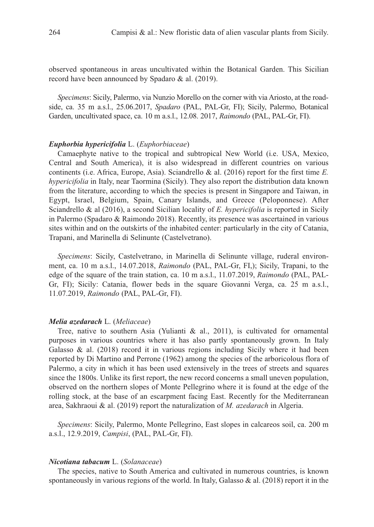observed spontaneous in areas uncultivated within the Botanical Garden. This Sicilian record have been announced by Spadaro & al. (2019).

*Specimens*: Sicily, Palermo, via Nunzio Morello on the corner with via Ariosto, at the roadside, ca. 35 m a.s.l., 25.06.2017, *Spadaro* (PAL, PAL-Gr, FI); Sicily, Palermo, Botanical Garden, uncultivated space, ca. 10 m a.s.l., 12.08. 2017, *Raimondo* (PAL, PAL-Gr, FI).

#### *Euphorbia hypericifolia* L. (*Euphorbiaceae*)

Camaephyte native to the tropical and subtropical New World (i.e. USA, Mexico, Central and South America), it is also widespread in different countries on various continents (i.e. Africa, Europe, Asia). Sciandrello & al. (2016) report for the first time *E. hypericifolia* in Italy, near Taormina (Sicily). They also report the distribution data known from the literature, according to which the species is present in Singapore and Taiwan, in Egypt, Israel, Belgium, Spain, Canary Islands, and Greece (Peloponnese). After Sciandrello & al (2016), a second Sicilian locality of *E. hypericifolia* is reported in Sicily in Palermo (Spadaro & Raimondo 2018). Recently, its presence was ascertained in various sites within and on the outskirts of the inhabited center: particularly in the city of Catania, Trapani, and Marinella di Selinunte (Castelvetrano).

*Specimens*: Sicily, Castelvetrano, in Marinella di Selinunte village, ruderal environment, ca. 10 m a.s.l., 14.07.2018, *Raimondo* (PAL, PAL-Gr, FI,); Sicily, Trapani, to the edge of the square of the train station, ca. 10 m a.s.l., 11.07.2019, *Raimondo* (PAL, PAL-Gr, FI); Sicily: Catania, flower beds in the square Giovanni Verga, ca. 25 m a.s.l., 11.07.2019, *Raimondo* (PAL, PAL-Gr, FI).

## *Melia azedarach* L. (*Meliaceae*)

Tree, native to southern Asia (Yulianti & al., 2011), is cultivated for ornamental purposes in various countries where it has also partly spontaneously grown. In Italy Galasso  $\&$  al. (2018) record it in various regions including Sicily where it had been reported by Di Martino and Perrone (1962) among the species of the arboricolous flora of Palermo, a city in which it has been used extensively in the trees of streets and squares since the 1800s. Unlike its first report, the new record concerns a small uneven population, observed on the northern slopes of Monte Pellegrino where it is found at the edge of the rolling stock, at the base of an escarpment facing East. Recently for the Mediterranean area, Sakhraoui & al. (2019) report the naturalization of *M. azedarach* in Algeria.

*Specimens*: Sicily, Palermo, Monte Pellegrino, East slopes in calcareos soil, ca. 200 m a.s.l., 12.9.2019, *Campisi*, (PAL, PAL-Gr, FI).

## *Nicotiana tabacum* L. (*Solanaceae*)

The species, native to South America and cultivated in numerous countries, is known spontaneously in various regions of the world. In Italy, Galasso  $\&$  al. (2018) report it in the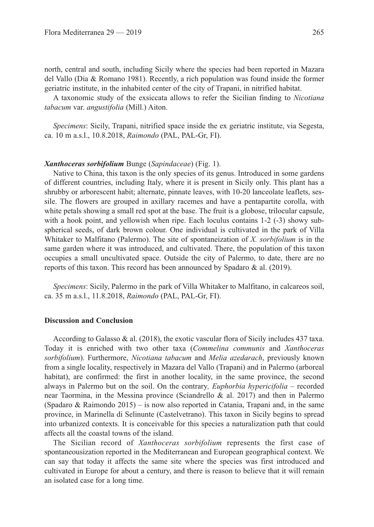north, central and south, including Sicily where the species had been reported in Mazara del Vallo (Dia & Romano 1981). Recently, a rich population was found inside the former geriatric institute, in the inhabited center of the city of Trapani, in nitrified habitat.

A taxonomic study of the exsiccata allows to refer the Sicilian finding to *Nicotiana tabacum* var. *angustifolia* (Mill.) Aiton.

*Specimens*: Sicily, Trapani, nitrified space inside the ex geriatric institute, via Segesta, ca. 10 m a.s.l., 10.8.2018, *Raimondo* (PAL, PAL-Gr, FI).

#### *Xanthoceras sorbifolium* Bunge (*Sapindaceae*) (Fig. 1).

Native to China, this taxon is the only species of its genus. Introduced in some gardens of different countries, including Italy, where it is present in Sicily only. This plant has a shrubby or arborescent habit; alternate, pinnate leaves, with 10-20 lanceolate leaflets, sessile. The flowers are grouped in axillary racemes and have a pentapartite corolla, with white petals showing a small red spot at the base. The fruit is a globose, trilocular capsule, with a hook point, and yellowish when ripe. Each loculus contains 1-2 (-3) showy subspherical seeds, of dark brown colour. One individual is cultivated in the park of Villa Whitaker to Malfitano (Palermo). The site of spontaneization of *X. sorbifolium* is in the same garden where it was introduced, and cultivated. There, the population of this taxon occupies a small uncultivated space. Outside the city of Palermo, to date, there are no reports of this taxon. This record has been announced by Spadaro & al. (2019).

*Specimens*: Sicily, Palermo in the park of Villa Whitaker to Malfitano, in calcareos soil, ca. 35 m a.s.l., 11.8.2018, *Raimondo* (PAL, PAL-Gr, FI).

## **Discussion and Conclusion**

According to Galasso & al. (2018), the exotic vascular flora of Sicily includes 437 taxa. Today it is enriched with two other taxa (*Commelina communis* and *Xanthoceras sorbifolium*). Furthermore, *Nicotiana tabacum* and *Melia azedarach*, previously known from a single locality, respectively in Mazara del Vallo (Trapani) and in Palermo (arboreal habitat), are confirmed: the first in another locality, in the same province, the second always in Palermo but on the soil. On the contrary*, Euphorbia hypericifolia* – recorded near Taormina, in the Messina province (Sciandrello & al. 2017) and then in Palermo (Spadaro & Raimondo 2015) – is now also reported in Catania, Trapani and, in the same province, in Marinella di Selinunte (Castelvetrano). This taxon in Sicily begins to spread into urbanized contexts. It is conceivable for this species a naturalization path that could affects all the coastal towns of the island.

The Sicilian record of *Xanthoceras sorbifolium* represents the first case of spontaneousization reported in the Mediterranean and European geographical context. We can say that today it affects the same site where the species was first introduced and cultivated in Europe for about a century, and there is reason to believe that it will remain an isolated case for a long time.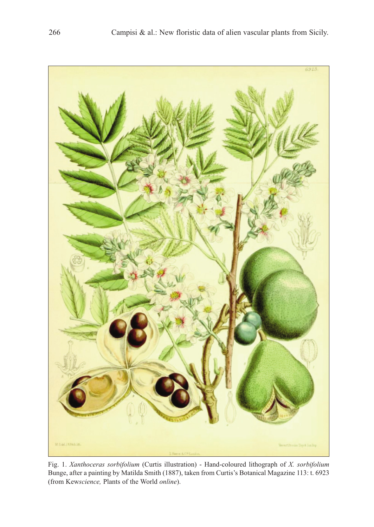

Fig. 1. *Xanthoceras sorbifolium* (Curtis illustration) - Hand-coloured lithograph of *X. sorbifolium* Bunge, after a painting by Matilda Smith (1887), taken from Curtis's Botanical Magazine 113: t. 6923 (from Kew*science,* Plants of the World *online*).